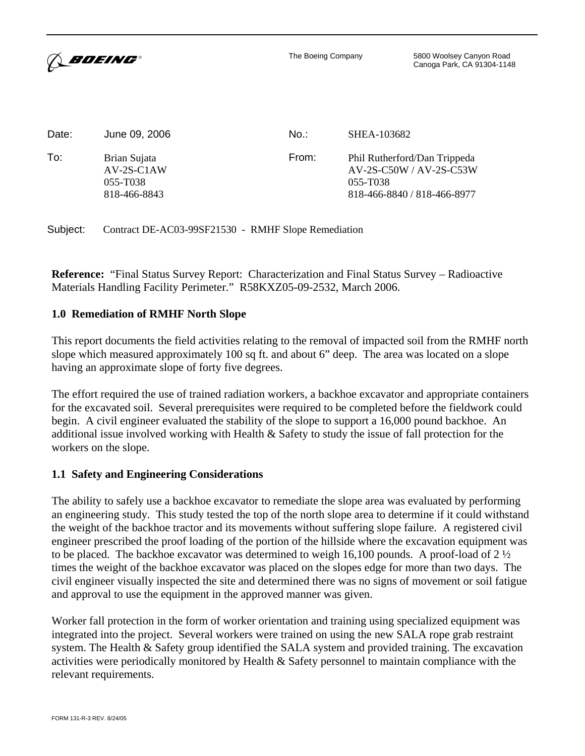

The Boeing Company 5800 Woolsey Canyon Road Canoga Park, CA 91304-1148

| Date: | June 09, 2006                                            | No.:  | SHEA-103682                                                                                        |
|-------|----------------------------------------------------------|-------|----------------------------------------------------------------------------------------------------|
| To:   | Brian Sujata<br>$AV-2S-CIAW$<br>055-T038<br>818-466-8843 | From: | Phil Rutherford/Dan Trippeda<br>$AV-2S-C50W/AV-2S-C53W$<br>055-T038<br>818-466-8840 / 818-466-8977 |

Subject: Contract DE-AC03-99SF21530 - RMHF Slope Remediation

**Reference:** "Final Status Survey Report: Characterization and Final Status Survey – Radioactive Materials Handling Facility Perimeter." R58KXZ05-09-2532, March 2006.

### **1.0 Remediation of RMHF North Slope**

This report documents the field activities relating to the removal of impacted soil from the RMHF north slope which measured approximately 100 sq ft. and about 6" deep. The area was located on a slope having an approximate slope of forty five degrees.

The effort required the use of trained radiation workers, a backhoe excavator and appropriate containers for the excavated soil. Several prerequisites were required to be completed before the fieldwork could begin. A civil engineer evaluated the stability of the slope to support a 16,000 pound backhoe. An additional issue involved working with Health & Safety to study the issue of fall protection for the workers on the slope.

#### **1.1 Safety and Engineering Considerations**

The ability to safely use a backhoe excavator to remediate the slope area was evaluated by performing an engineering study. This study tested the top of the north slope area to determine if it could withstand the weight of the backhoe tractor and its movements without suffering slope failure. A registered civil engineer prescribed the proof loading of the portion of the hillside where the excavation equipment was to be placed. The backhoe excavator was determined to weigh 16,100 pounds. A proof-load of 2 ½ times the weight of the backhoe excavator was placed on the slopes edge for more than two days. The civil engineer visually inspected the site and determined there was no signs of movement or soil fatigue and approval to use the equipment in the approved manner was given.

Worker fall protection in the form of worker orientation and training using specialized equipment was integrated into the project. Several workers were trained on using the new SALA rope grab restraint system. The Health & Safety group identified the SALA system and provided training. The excavation activities were periodically monitored by Health & Safety personnel to maintain compliance with the relevant requirements.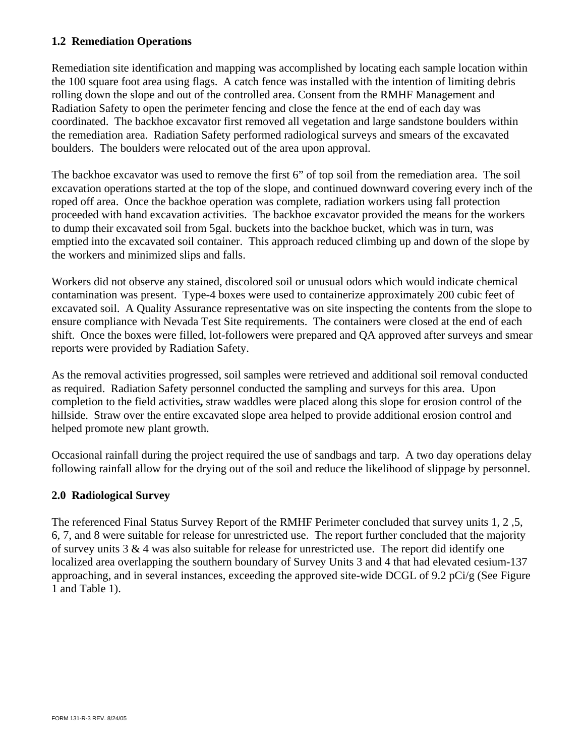## **1.2 Remediation Operations**

Remediation site identification and mapping was accomplished by locating each sample location within the 100 square foot area using flags. A catch fence was installed with the intention of limiting debris rolling down the slope and out of the controlled area. Consent from the RMHF Management and Radiation Safety to open the perimeter fencing and close the fence at the end of each day was coordinated. The backhoe excavator first removed all vegetation and large sandstone boulders within the remediation area. Radiation Safety performed radiological surveys and smears of the excavated boulders. The boulders were relocated out of the area upon approval.

The backhoe excavator was used to remove the first 6" of top soil from the remediation area. The soil excavation operations started at the top of the slope, and continued downward covering every inch of the roped off area. Once the backhoe operation was complete, radiation workers using fall protection proceeded with hand excavation activities. The backhoe excavator provided the means for the workers to dump their excavated soil from 5gal. buckets into the backhoe bucket, which was in turn, was emptied into the excavated soil container. This approach reduced climbing up and down of the slope by the workers and minimized slips and falls.

Workers did not observe any stained, discolored soil or unusual odors which would indicate chemical contamination was present.Type-4 boxes were used to containerize approximately 200 cubic feet of excavated soil. A Quality Assurance representative was on site inspecting the contents from the slope to ensure compliance with Nevada Test Site requirements. The containers were closed at the end of each shift. Once the boxes were filled, lot-followers were prepared and QA approved after surveys and smear reports were provided by Radiation Safety.

As the removal activities progressed, soil samples were retrieved and additional soil removal conducted as required.Radiation Safety personnel conducted the sampling and surveys for this area. Upon completion to the field activities**,** straw waddles were placed along this slope for erosion control of the hillside. Straw over the entire excavated slope area helped to provide additional erosion control and helped promote new plant growth.

Occasional rainfall during the project required the use of sandbags and tarp. A two day operations delay following rainfall allow for the drying out of the soil and reduce the likelihood of slippage by personnel.

### **2.0 Radiological Survey**

The referenced Final Status Survey Report of the RMHF Perimeter concluded that survey units 1, 2 ,5, 6, 7, and 8 were suitable for release for unrestricted use. The report further concluded that the majority of survey units 3 & 4 was also suitable for release for unrestricted use. The report did identify one localized area overlapping the southern boundary of Survey Units 3 and 4 that had elevated cesium-137 approaching, and in several instances, exceeding the approved site-wide DCGL of 9.2 pCi/g (See Figure 1 and Table 1).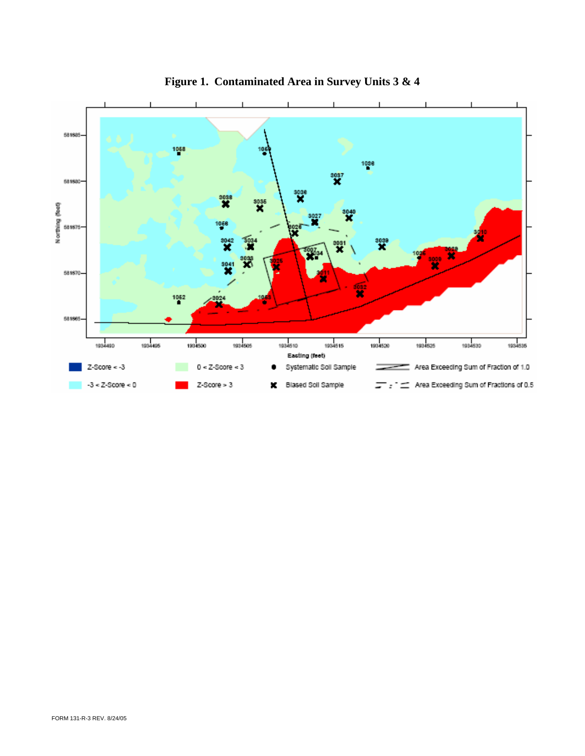

**Figure 1. Contaminated Area in Survey Units 3 & 4**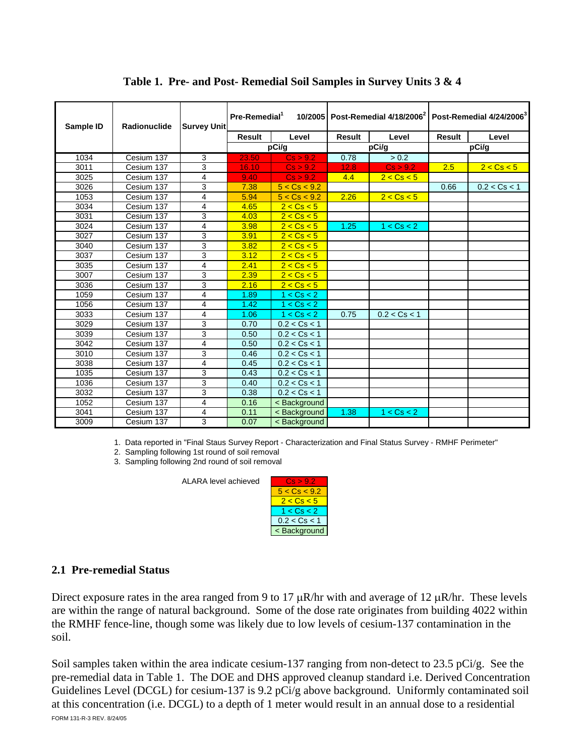| Sample ID | Radionuclide | <b>Survey Unit</b> | Pre-Remedial <sup>1</sup> |                                                                       | 10/2005 Post-Remedial 4/18/2006 Post-Remedial 4/24/2006 <sup>3</sup> |              |        |              |
|-----------|--------------|--------------------|---------------------------|-----------------------------------------------------------------------|----------------------------------------------------------------------|--------------|--------|--------------|
|           |              |                    | <b>Result</b>             | Level                                                                 | <b>Result</b>                                                        | Level        | Result | Level        |
|           |              |                    | pCi/g                     |                                                                       | pCi/g                                                                |              | pCi/g  |              |
| 1034      | Cesium 137   | 3                  | 23.50                     | Cs > 9.2                                                              | 0.78                                                                 | > 0.2        |        |              |
| 3011      | Cesium 137   | 3                  | 16.10                     | Cs > 9.2                                                              | 12.8                                                                 | Cs > 9.2     | 2.5    | 2 < Cs < 5   |
| 3025      | Cesium 137   | 4                  | 9.40                      | Cs > 9.2                                                              | 4.4                                                                  | 2 < Cs < 5   |        |              |
| 3026      | Cesium 137   | 3                  | 7.38                      | 5 < Cs < 9.2                                                          |                                                                      |              | 0.66   | 0.2 < Cs < 1 |
| 1053      | Cesium 137   | 4                  | 5.94                      | 5 < Cs < 9.2                                                          | 2.26                                                                 | 2 < Cs < 5   |        |              |
| 3034      | Cesium 137   | 4                  | 4.65                      | 2 < Cs < 5                                                            |                                                                      |              |        |              |
| 3031      | Cesium 137   | 3                  | 4.03                      | 2 < Cs < 5                                                            |                                                                      |              |        |              |
| 3024      | Cesium 137   | 4                  | 3.98                      | 2 < Cs < 5                                                            | 1.25                                                                 | 1 < Cs < 2   |        |              |
| 3027      | Cesium 137   | 3                  | 3.91                      | 2 < Cs < 5                                                            |                                                                      |              |        |              |
| 3040      | Cesium 137   | 3                  | 3.82                      | 2 < Cs < 5                                                            |                                                                      |              |        |              |
| 3037      | Cesium 137   | 3                  | 3.12                      | 2 < Cs < 5                                                            |                                                                      |              |        |              |
| 3035      | Cesium 137   | 4                  | 2.41                      | 2 < Cs < 5                                                            |                                                                      |              |        |              |
| 3007      | Cesium 137   | 3                  | 2.39                      | 2 < Cs < 5                                                            |                                                                      |              |        |              |
| 3036      | Cesium 137   | 3                  | 2.16                      | 2 < Cs < 5                                                            |                                                                      |              |        |              |
| 1059      | Cesium 137   | 4                  | 1.89                      | 1 < Cs < 2                                                            |                                                                      |              |        |              |
| 1056      | Cesium 137   | 4                  | 1.42                      | 1 < Cs < 2                                                            |                                                                      |              |        |              |
| 3033      | Cesium 137   | 4                  | 1.06                      | 1 < Cs < 2                                                            | 0.75                                                                 | 0.2 < Cs < 1 |        |              |
| 3029      | Cesium 137   | 3                  | 0.70                      | 0.2 < Cs < 1                                                          |                                                                      |              |        |              |
| 3039      | Cesium 137   | 3                  | 0.50                      | 0.2 < Cs < 1                                                          |                                                                      |              |        |              |
| 3042      | Cesium 137   | 4                  | 0.50                      | 0.2 < Cs < 1                                                          |                                                                      |              |        |              |
| 3010      | Cesium 137   | 3                  | 0.46                      | 0.2 < Cs < 1                                                          |                                                                      |              |        |              |
| 3038      | Cesium 137   | 4                  | 0.45                      | 0.2 < Cs < 1                                                          |                                                                      |              |        |              |
| 1035      | Cesium 137   | 3                  | 0.43                      | 0.2 < Cs < 1                                                          |                                                                      |              |        |              |
| 1036      | Cesium 137   | 3                  | 0.40                      | 0.2 < Cs < 1                                                          |                                                                      |              |        |              |
| 3032      | Cesium 137   | 3                  | 0.38                      | 0.2 < Cs < 1                                                          |                                                                      |              |        |              |
| 1052      | Cesium 137   | 4                  | 0.16                      | <background< td=""><td></td><td></td><td></td><td></td></background<> |                                                                      |              |        |              |
| 3041      | Cesium 137   | 4                  | 0.11                      | < Background                                                          | 1.38                                                                 | 1 < Cs < 2   |        |              |
| 3009      | Cesium 137   | 3                  | 0.07                      | < Background                                                          |                                                                      |              |        |              |

# Table 1. Pre- and Post- Remedial Soil Samples in Survey Units 3 & 4

1. Data reported in "Final Staus Survey Report - Characterization and Final Status Survey - RMHF Perimeter"

2. Sampling following 1st round of soil removal

3. Sampling following 2nd round of soil removal

ALARA level achieved



# 2.1 Pre-remedial Status

Direct exposure rates in the area ranged from 9 to 17  $\mu$ R/hr with and average of 12  $\mu$ R/hr. These levels are within the range of natural background. Some of the dose rate originates from building 4022 within the RMHF fence-line, though some was likely due to low levels of cesium-137 contamination in the soil

Soil samples taken within the area indicate cesium-137 ranging from non-detect to 23.5 pCi/g. See the pre-remedial data in Table 1. The DOE and DHS approved cleanup standard i.e. Derived Concentration Guidelines Level (DCGL) for cesium-137 is 9.2 pCi/g above background. Uniformly contaminated soil at this concentration (i.e. DCGL) to a depth of 1 meter would result in an annual dose to a residential FORM 131-R-3 REV, 8/24/05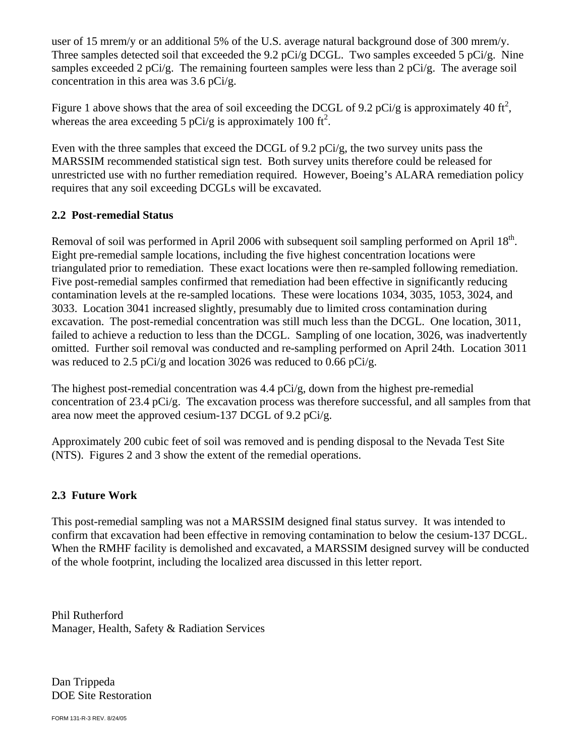user of 15 mrem/y or an additional 5% of the U.S. average natural background dose of 300 mrem/y. Three samples detected soil that exceeded the 9.2 pCi/g DCGL. Two samples exceeded 5 pCi/g. Nine samples exceeded 2 pCi/g. The remaining fourteen samples were less than 2 pCi/g. The average soil concentration in this area was 3.6 pCi/g.

Figure 1 above shows that the area of soil exceeding the DCGL of 9.2 pCi/g is approximately 40 ft<sup>2</sup>, whereas the area exceeding 5 pCi/g is approximately 100 ft<sup>2</sup>.

Even with the three samples that exceed the DCGL of 9.2 pCi/g, the two survey units pass the MARSSIM recommended statistical sign test. Both survey units therefore could be released for unrestricted use with no further remediation required. However, Boeing's ALARA remediation policy requires that any soil exceeding DCGLs will be excavated.

# **2.2 Post-remedial Status**

Removal of soil was performed in April 2006 with subsequent soil sampling performed on April 18<sup>th</sup>. Eight pre-remedial sample locations, including the five highest concentration locations were triangulated prior to remediation. These exact locations were then re-sampled following remediation. Five post-remedial samples confirmed that remediation had been effective in significantly reducing contamination levels at the re-sampled locations. These were locations 1034, 3035, 1053, 3024, and 3033. Location 3041 increased slightly, presumably due to limited cross contamination during excavation. The post-remedial concentration was still much less than the DCGL. One location, 3011, failed to achieve a reduction to less than the DCGL. Sampling of one location, 3026, was inadvertently omitted. Further soil removal was conducted and re-sampling performed on April 24th. Location 3011 was reduced to 2.5 pCi/g and location 3026 was reduced to 0.66 pCi/g.

The highest post-remedial concentration was 4.4 pCi/g, down from the highest pre-remedial concentration of 23.4 pCi/g. The excavation process was therefore successful, and all samples from that area now meet the approved cesium-137 DCGL of 9.2 pCi/g.

Approximately 200 cubic feet of soil was removed and is pending disposal to the Nevada Test Site (NTS). Figures 2 and 3 show the extent of the remedial operations.

# **2.3 Future Work**

This post-remedial sampling was not a MARSSIM designed final status survey. It was intended to confirm that excavation had been effective in removing contamination to below the cesium-137 DCGL. When the RMHF facility is demolished and excavated, a MARSSIM designed survey will be conducted of the whole footprint, including the localized area discussed in this letter report.

Phil Rutherford Manager, Health, Safety & Radiation Services

Dan Trippeda DOE Site Restoration